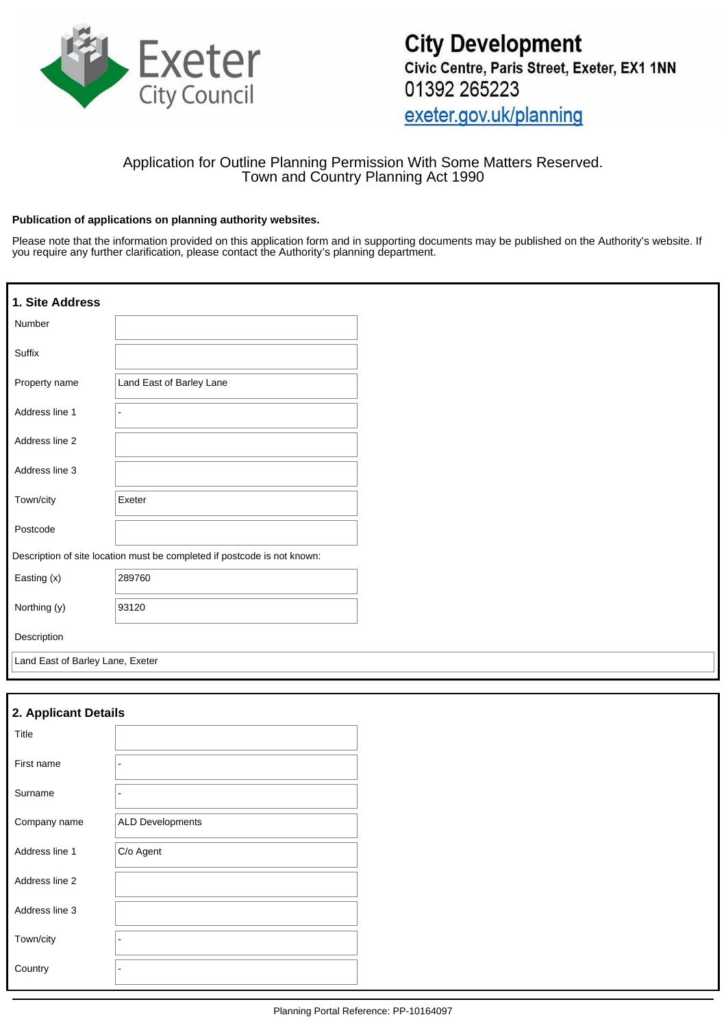

## Application for Outline Planning Permission With Some Matters Reserved. Town and Country Planning Act 1990

#### **Publication of applications on planning authority websites.**

Please note that the information provided on this application form and in supporting documents may be published on the Authority's website. If you require any further clarification, please contact the Authority's planning department.

| 1. Site Address                  |                                                                          |  |
|----------------------------------|--------------------------------------------------------------------------|--|
| Number                           |                                                                          |  |
| Suffix                           |                                                                          |  |
| Property name                    | Land East of Barley Lane                                                 |  |
| Address line 1                   |                                                                          |  |
| Address line 2                   |                                                                          |  |
| Address line 3                   |                                                                          |  |
| Town/city                        | Exeter                                                                   |  |
| Postcode                         |                                                                          |  |
|                                  | Description of site location must be completed if postcode is not known: |  |
| Easting (x)                      | 289760                                                                   |  |
| Northing (y)                     | 93120                                                                    |  |
| Description                      |                                                                          |  |
| Land East of Barley Lane, Exeter |                                                                          |  |

## **2. Applicant Details**

| Title          |                          |
|----------------|--------------------------|
| First name     | $\overline{\phantom{0}}$ |
| Surname        | -                        |
| Company name   | <b>ALD Developments</b>  |
| Address line 1 | C/o Agent                |
| Address line 2 |                          |
| Address line 3 |                          |
| Town/city      | $\overline{\phantom{0}}$ |
| Country        | ۰                        |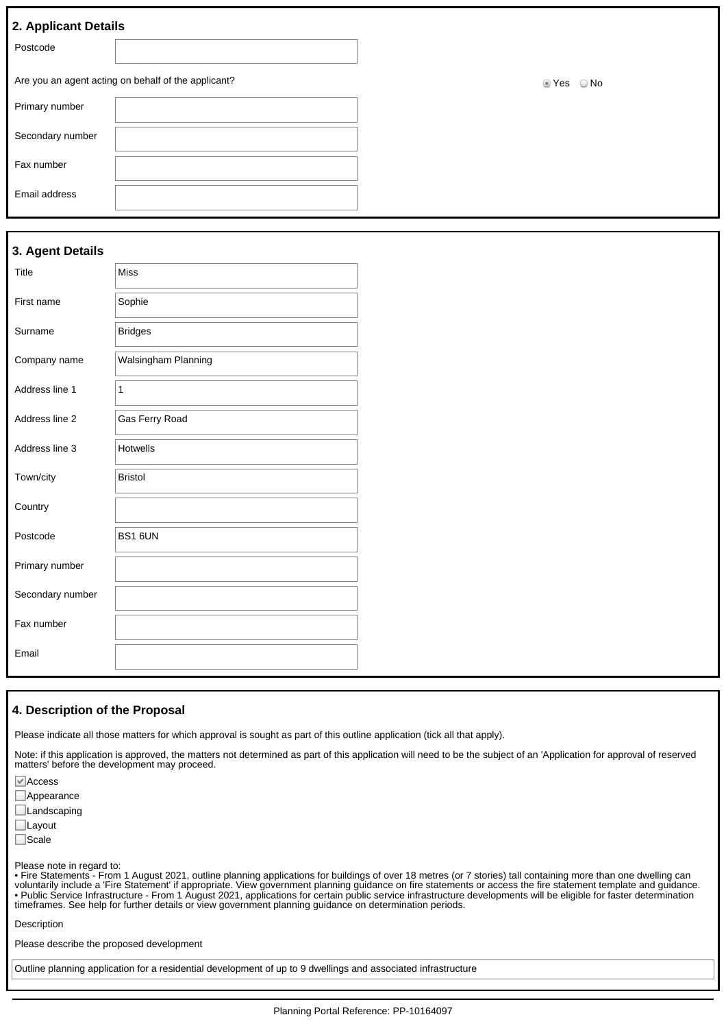| 2. Applicant Details |                                                     |            |
|----------------------|-----------------------------------------------------|------------|
| Postcode             |                                                     |            |
|                      | Are you an agent acting on behalf of the applicant? | ■ Yes © No |
| Primary number       |                                                     |            |
| Secondary number     |                                                     |            |
| Fax number           |                                                     |            |
| Email address        |                                                     |            |
|                      |                                                     |            |

|  |  | 3. Agent Details |
|--|--|------------------|
|--|--|------------------|

| Title            | <b>Miss</b>         |
|------------------|---------------------|
| First name       | Sophie              |
| Surname          | <b>Bridges</b>      |
| Company name     | Walsingham Planning |
| Address line 1   | 1                   |
| Address line 2   | Gas Ferry Road      |
| Address line 3   | <b>Hotwells</b>     |
| Town/city        | <b>Bristol</b>      |
| Country          |                     |
| Postcode         | BS1 6UN             |
| Primary number   |                     |
| Secondary number |                     |
| Fax number       |                     |
| Email            |                     |

#### **4. Description of the Proposal**

Please indicate all those matters for which approval is sought as part of this outline application (tick all that apply).

Note: if this application is approved, the matters not determined as part of this application will need to be the subject of an 'Application for approval of reserved matters' before the development may proceed.

Access **Appearance Landscaping** 

Layout

□Scale

Please note in regard to:

• Fire Statements - From 1 August 2021, outline planning applications for buildings of over 18 metres (or 7 stories) tall containing more than one dwelling can voluntarily include a 'Fire Statement' if appropriate. View government planning guidance on fire statements or access the fire statement template and guidance. • Public Service Infrastructure - From 1 August 2021, applications for certain public service infrastructure developments will be eligible for faster determination timeframes. See help for further details or view government planning guidance on determination periods.

Description

Please describe the proposed development

Outline planning application for a residential development of up to 9 dwellings and associated infrastructure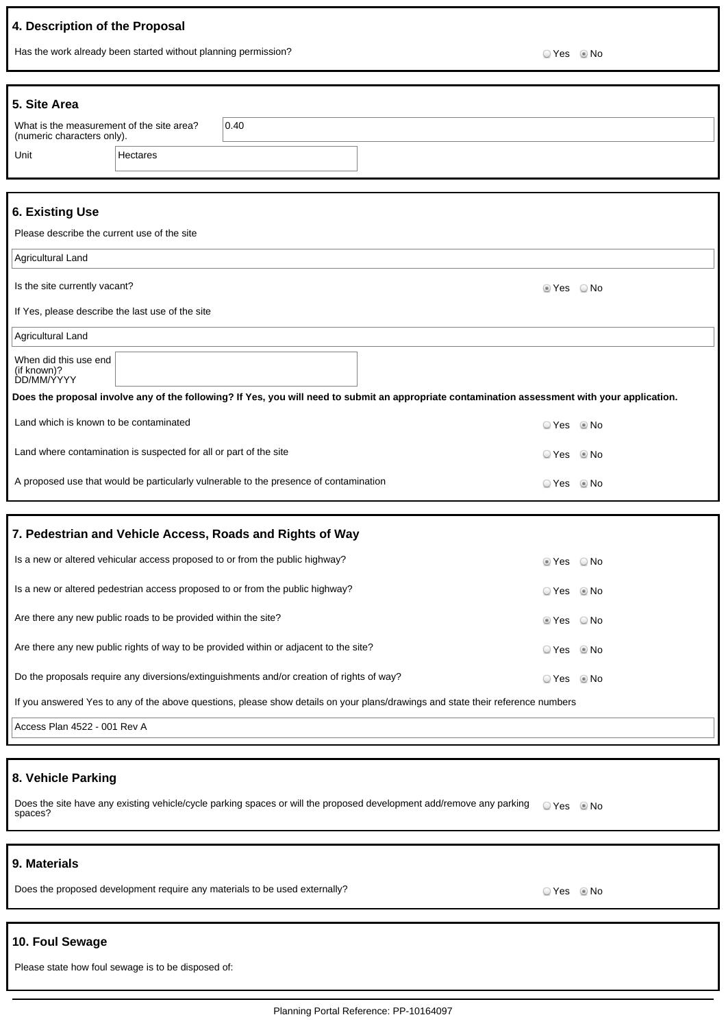# **4. Description of the Proposal**

Has the work already been started without planning permission?<br>
O Yes No

| 5. Site Area                                                            |                                                                   |                                                                                           |                                                                                                                                                |                        |      |
|-------------------------------------------------------------------------|-------------------------------------------------------------------|-------------------------------------------------------------------------------------------|------------------------------------------------------------------------------------------------------------------------------------------------|------------------------|------|
| What is the measurement of the site area?<br>(numeric characters only). |                                                                   | 0.40                                                                                      |                                                                                                                                                |                        |      |
| Unit                                                                    | Hectares                                                          |                                                                                           |                                                                                                                                                |                        |      |
|                                                                         |                                                                   |                                                                                           |                                                                                                                                                |                        |      |
| <b>6. Existing Use</b>                                                  |                                                                   |                                                                                           |                                                                                                                                                |                        |      |
| Please describe the current use of the site                             |                                                                   |                                                                                           |                                                                                                                                                |                        |      |
| Agricultural Land                                                       |                                                                   |                                                                                           |                                                                                                                                                |                        |      |
| Is the site currently vacant?                                           |                                                                   |                                                                                           |                                                                                                                                                | $\circ$ Yes $\circ$ No |      |
| If Yes, please describe the last use of the site                        |                                                                   |                                                                                           |                                                                                                                                                |                        |      |
| Agricultural Land                                                       |                                                                   |                                                                                           |                                                                                                                                                |                        |      |
| When did this use end<br>(if known)?<br><b>DD/MM/YYYY</b>               |                                                                   |                                                                                           |                                                                                                                                                |                        |      |
|                                                                         |                                                                   |                                                                                           | Does the proposal involve any of the following? If Yes, you will need to submit an appropriate contamination assessment with your application. |                        |      |
| Land which is known to be contaminated                                  |                                                                   |                                                                                           |                                                                                                                                                | ○ Yes ◎ No             |      |
|                                                                         | Land where contamination is suspected for all or part of the site |                                                                                           |                                                                                                                                                | ☉ Yes                  | © No |
|                                                                         |                                                                   | A proposed use that would be particularly vulnerable to the presence of contamination     |                                                                                                                                                | ⊙ Yes © No             |      |
|                                                                         |                                                                   |                                                                                           |                                                                                                                                                |                        |      |
|                                                                         |                                                                   | 7. Pedestrian and Vehicle Access, Roads and Rights of Way                                 |                                                                                                                                                |                        |      |
|                                                                         |                                                                   | Is a new or altered vehicular access proposed to or from the public highway?              |                                                                                                                                                | $\circ$ Yes $\circ$ No |      |
|                                                                         |                                                                   | Is a new or altered pedestrian access proposed to or from the public highway?             |                                                                                                                                                | © Yes ◎ No             |      |
|                                                                         | Are there any new public roads to be provided within the site?    |                                                                                           |                                                                                                                                                | tes ⊙No                |      |
|                                                                         |                                                                   | Are there any new public rights of way to be provided within or adjacent to the site?     |                                                                                                                                                | ⊙ Yes ◎ No             |      |
|                                                                         |                                                                   | Do the proposals require any diversions/extinguishments and/or creation of rights of way? |                                                                                                                                                | ⊙ Yes ◎ No             |      |
|                                                                         |                                                                   |                                                                                           | If you answered Yes to any of the above questions, please show details on your plans/drawings and state their reference numbers                |                        |      |
| Access Plan 4522 - 001 Rev A                                            |                                                                   |                                                                                           |                                                                                                                                                |                        |      |
|                                                                         |                                                                   |                                                                                           |                                                                                                                                                |                        |      |
| 8. Vehicle Parking                                                      |                                                                   |                                                                                           |                                                                                                                                                |                        |      |
| spaces?                                                                 |                                                                   |                                                                                           | Does the site have any existing vehicle/cycle parking spaces or will the proposed development add/remove any parking                           | ⊙ Yes © No             |      |
| 9. Materials                                                            |                                                                   |                                                                                           |                                                                                                                                                |                        |      |

Does the proposed development require any materials to be used externally? Does not all the proposed of Yes No

## **10. Foul Sewage**

Please state how foul sewage is to be disposed of: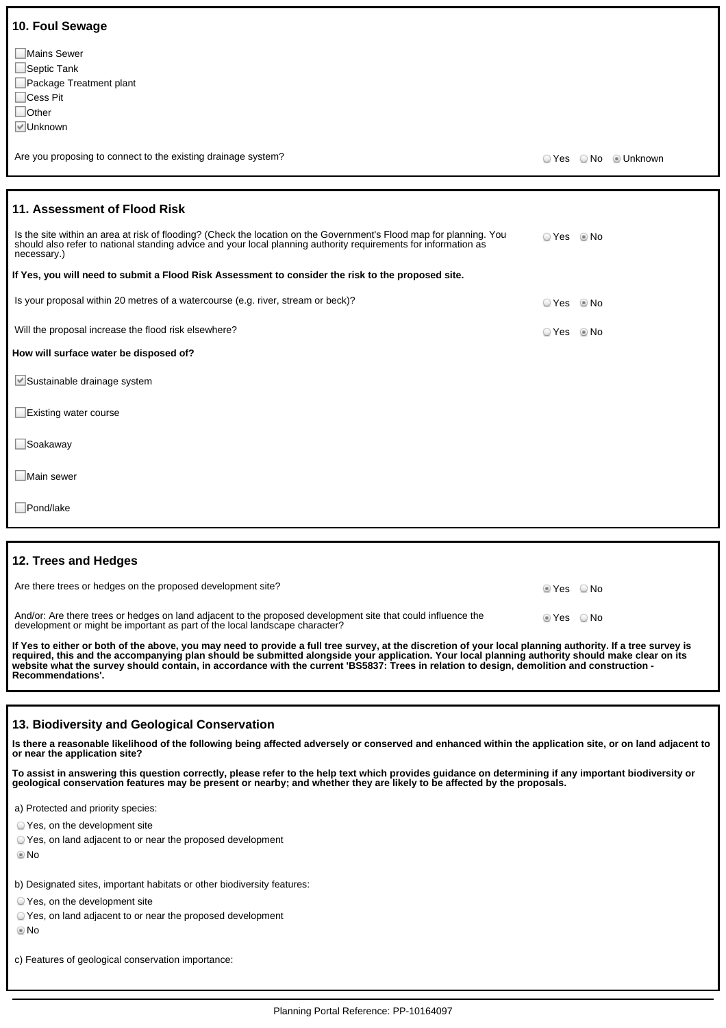| 10. Foul Sewage                                                                                                                                                                                                                                       |            |                      |
|-------------------------------------------------------------------------------------------------------------------------------------------------------------------------------------------------------------------------------------------------------|------------|----------------------|
| <b>■Mains Sewer</b><br>$\Box$ Septic Tank<br>Package Treatment plant<br>$\Box$ Cess Pit<br>$\Box$ Other<br><b>√</b> Unknown                                                                                                                           |            |                      |
| Are you proposing to connect to the existing drainage system?                                                                                                                                                                                         |            | ○ Yes ○ No · Unknown |
|                                                                                                                                                                                                                                                       |            |                      |
| 11. Assessment of Flood Risk                                                                                                                                                                                                                          |            |                      |
| Is the site within an area at risk of flooding? (Check the location on the Government's Flood map for planning. You<br>should also refer to national standing advice and your local planning authority requirements for information as<br>necessary.) | ○ Yes ◎ No |                      |
| If Yes, you will need to submit a Flood Risk Assessment to consider the risk to the proposed site.                                                                                                                                                    |            |                      |
| Is your proposal within 20 metres of a watercourse (e.g. river, stream or beck)?                                                                                                                                                                      | © Yes      | l No                 |
| Will the proposal increase the flood risk elsewhere?                                                                                                                                                                                                  | ⊙ Yes © No |                      |
| How will surface water be disposed of?                                                                                                                                                                                                                |            |                      |
| Sustainable drainage system                                                                                                                                                                                                                           |            |                      |
| Existing water course                                                                                                                                                                                                                                 |            |                      |
| Soakaway                                                                                                                                                                                                                                              |            |                      |
| Main sewer                                                                                                                                                                                                                                            |            |                      |

Pond/lake

#### **12. Trees and Hedges**

| And/or: Are there trees or hedges on land adjacent to the proposed development site that could influence the<br>lier ⊘No<br>development or might be important as part of the local landscape character? | Are there trees or hedges on the proposed development site? | lies ONo |  |
|---------------------------------------------------------------------------------------------------------------------------------------------------------------------------------------------------------|-------------------------------------------------------------|----------|--|
|                                                                                                                                                                                                         |                                                             |          |  |

**If Yes to either or both of the above, you may need to provide a full tree survey, at the discretion of your local planning authority. If a tree survey is required, this and the accompanying plan should be submitted alongside your application. Your local planning authority should make clear on its website what the survey should contain, in accordance with the current 'BS5837: Trees in relation to design, demolition and construction - Recommendations'.**

#### **13. Biodiversity and Geological Conservation**

**Is there a reasonable likelihood of the following being affected adversely or conserved and enhanced within the application site, or on land adjacent to or near the application site?**

**To assist in answering this question correctly, please refer to the help text which provides guidance on determining if any important biodiversity or geological conservation features may be present or nearby; and whether they are likely to be affected by the proposals.**

a) Protected and priority species:

Yes, on the development site

Yes, on land adjacent to or near the proposed development

No

b) Designated sites, important habitats or other biodiversity features:

Yes, on the development site

| ○ Yes, on land adjacent to or near the proposed development |  |
|-------------------------------------------------------------|--|
|-------------------------------------------------------------|--|

®No

c) Features of geological conservation importance: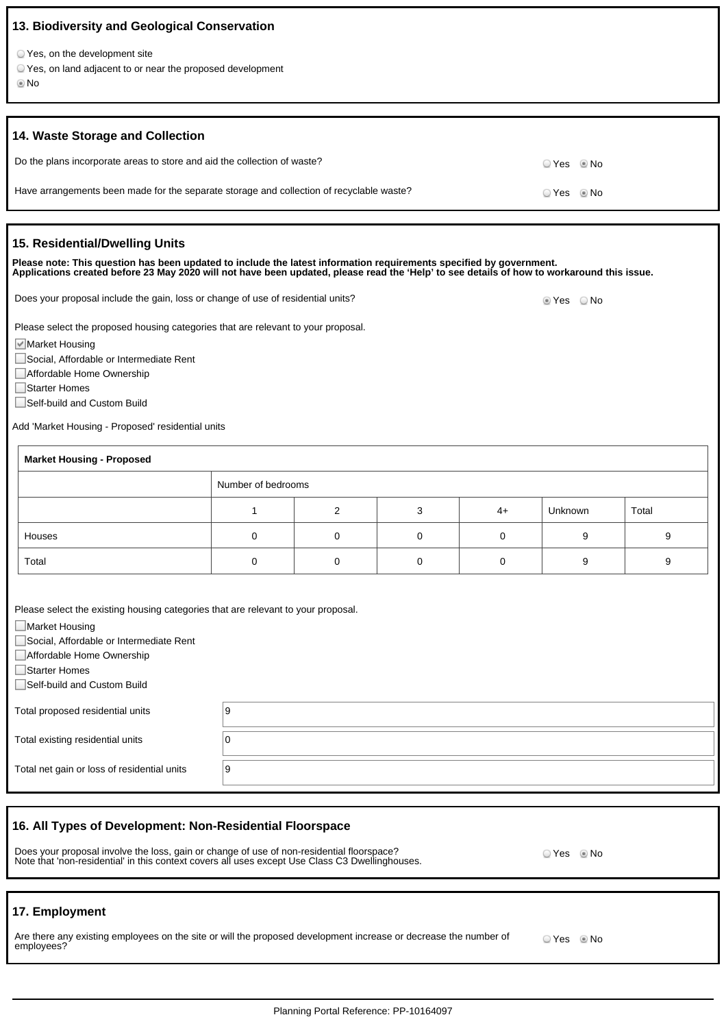| 13. Biodiversity and Geological Conservation                                                                                                                                                                                                                                       |                    |   |   |    |               |       |
|------------------------------------------------------------------------------------------------------------------------------------------------------------------------------------------------------------------------------------------------------------------------------------|--------------------|---|---|----|---------------|-------|
| ○ Yes, on the development site<br>○ Yes, on land adjacent to or near the proposed development<br>© No                                                                                                                                                                              |                    |   |   |    |               |       |
| 14. Waste Storage and Collection                                                                                                                                                                                                                                                   |                    |   |   |    |               |       |
| Do the plans incorporate areas to store and aid the collection of waste?                                                                                                                                                                                                           |                    |   |   |    | ⊙ Yes<br>l No |       |
| Have arrangements been made for the separate storage and collection of recyclable waste?                                                                                                                                                                                           |                    |   |   |    | ○ Yes<br>© No |       |
| 15. Residential/Dwelling Units                                                                                                                                                                                                                                                     |                    |   |   |    |               |       |
| Please note: This question has been updated to include the latest information requirements specified by government.<br>Applications created before 23 May 2020 will not have been updated, please read the 'Help' to see details of how to workaround this issue.                  |                    |   |   |    |               |       |
| Does your proposal include the gain, loss or change of use of residential units?                                                                                                                                                                                                   |                    |   |   |    | ■ Yes   O No  |       |
| Please select the proposed housing categories that are relevant to your proposal.<br>■ Market Housing<br>Social, Affordable or Intermediate Rent<br>Affordable Home Ownership<br>Starter Homes<br>Self-build and Custom Build<br>Add 'Market Housing - Proposed' residential units |                    |   |   |    |               |       |
| <b>Market Housing - Proposed</b>                                                                                                                                                                                                                                                   |                    |   |   |    |               |       |
|                                                                                                                                                                                                                                                                                    | Number of bedrooms |   |   |    |               |       |
|                                                                                                                                                                                                                                                                                    | 1                  | 2 | 3 | 4+ | Unknown       | Total |
| Houses                                                                                                                                                                                                                                                                             | 0                  | 0 | 0 | 0  | 9             | 9     |
| Total                                                                                                                                                                                                                                                                              | 0                  | 0 | 0 | 0  | 9             | 9     |
| Please select the existing housing categories that are relevant to your proposal.<br>□ Market Housing<br>Social, Affordable or Intermediate Rent<br>Affordable Home Ownership<br>Starter Homes<br>Self-build and Custom Build                                                      |                    |   |   |    |               |       |
| Total proposed residential units                                                                                                                                                                                                                                                   | 9                  |   |   |    |               |       |
| Total existing residential units                                                                                                                                                                                                                                                   | 0                  |   |   |    |               |       |
| Total net gain or loss of residential units                                                                                                                                                                                                                                        | 9                  |   |   |    |               |       |
| 16. All Types of Development: Non-Residential Floorspace<br>Does your proposal involve the loss, gain or change of use of non-residential floorspace?<br>○ Yes ◎ No<br>Note that 'non-residential' in this context covers all uses except Use Class C3 Dwellinghouses.             |                    |   |   |    |               |       |
|                                                                                                                                                                                                                                                                                    |                    |   |   |    |               |       |

# **17. Employment**

| Are there any existing employees on the site or will the proposed development increase or decrease the number of | ○ Yes ◎ No |  |
|------------------------------------------------------------------------------------------------------------------|------------|--|
| employees?                                                                                                       |            |  |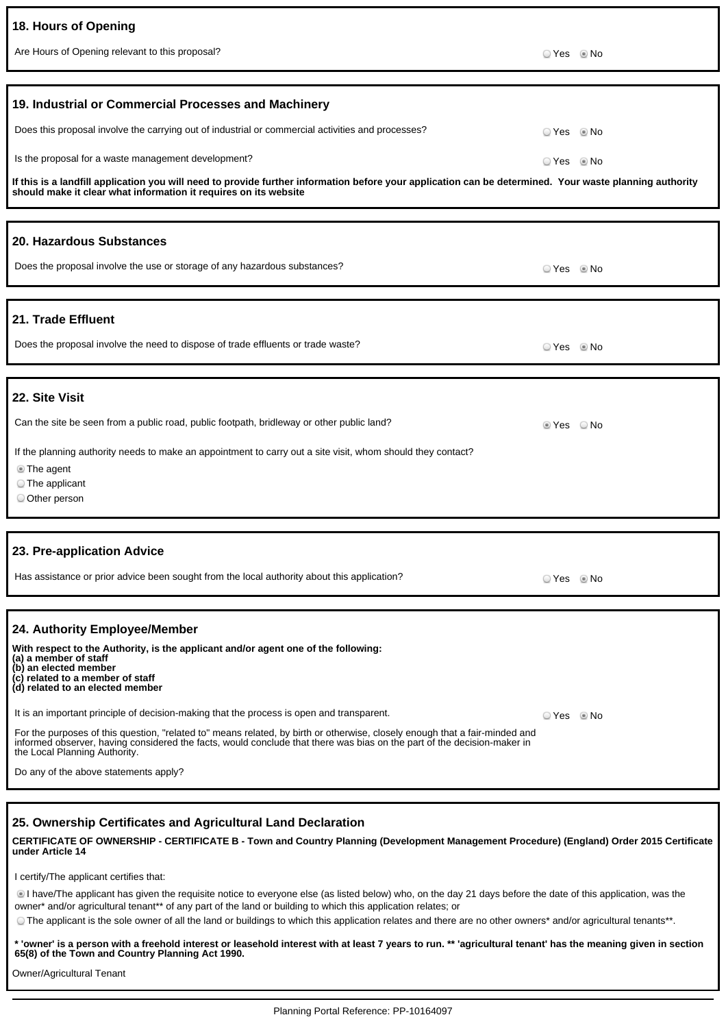| 18. Hours of Opening                                                                                                                                                                                                                                                                    |            |      |
|-----------------------------------------------------------------------------------------------------------------------------------------------------------------------------------------------------------------------------------------------------------------------------------------|------------|------|
| Are Hours of Opening relevant to this proposal?                                                                                                                                                                                                                                         | © Yes ◎ No |      |
|                                                                                                                                                                                                                                                                                         |            |      |
| 19. Industrial or Commercial Processes and Machinery                                                                                                                                                                                                                                    |            |      |
| Does this proposal involve the carrying out of industrial or commercial activities and processes?                                                                                                                                                                                       | ○ Yes      | © No |
| Is the proposal for a waste management development?                                                                                                                                                                                                                                     | ⊙ Yes ◎ No |      |
| If this is a landfill application you will need to provide further information before your application can be determined. Your waste planning authority<br>should make it clear what information it requires on its website                                                             |            |      |
| 20. Hazardous Substances                                                                                                                                                                                                                                                                |            |      |
| Does the proposal involve the use or storage of any hazardous substances?                                                                                                                                                                                                               | ⊙ Yes ◎ No |      |
| 21. Trade Effluent                                                                                                                                                                                                                                                                      |            |      |
| Does the proposal involve the need to dispose of trade effluents or trade waste?                                                                                                                                                                                                        | © Yes © No |      |
|                                                                                                                                                                                                                                                                                         |            |      |
| 22. Site Visit                                                                                                                                                                                                                                                                          |            |      |
| Can the site be seen from a public road, public footpath, bridleway or other public land?                                                                                                                                                                                               | ■ Yes   No |      |
| If the planning authority needs to make an appointment to carry out a site visit, whom should they contact?                                                                                                                                                                             |            |      |
| <b>The agent</b><br>$\circ$ The applicant                                                                                                                                                                                                                                               |            |      |
| O Other person                                                                                                                                                                                                                                                                          |            |      |
|                                                                                                                                                                                                                                                                                         |            |      |
| 23. Pre-application Advice                                                                                                                                                                                                                                                              |            |      |
| Has assistance or prior advice been sought from the local authority about this application?                                                                                                                                                                                             | ⊙ Yes ⊚ No |      |
|                                                                                                                                                                                                                                                                                         |            |      |
| 24. Authority Employee/Member<br>With respect to the Authority, is the applicant and/or agent one of the following:<br>(a) a member of staff<br>(b) an elected member<br>(c) related to a member of staff<br>(d) related to an elected member                                           |            |      |
| It is an important principle of decision-making that the process is open and transparent.                                                                                                                                                                                               | ⊙ Yes © No |      |
| For the purposes of this question, "related to" means related, by birth or otherwise, closely enough that a fair-minded and<br>informed observer, having considered the facts, would conclude that there was bias on the part of the decision-maker in<br>the Local Planning Authority. |            |      |
| Do any of the above statements apply?                                                                                                                                                                                                                                                   |            |      |
|                                                                                                                                                                                                                                                                                         |            |      |

## **25. Ownership Certificates and Agricultural Land Declaration**

**CERTIFICATE OF OWNERSHIP - CERTIFICATE B - Town and Country Planning (Development Management Procedure) (England) Order 2015 Certificate under Article 14**

I certify/The applicant certifies that:

I have/The applicant has given the requisite notice to everyone else (as listed below) who, on the day 21 days before the date of this application, was the owner\* and/or agricultural tenant\*\* of any part of the land or building to which this application relates; or

The applicant is the sole owner of all the land or buildings to which this application relates and there are no other owners\* and/or agricultural tenants\*\*.

**\* 'owner' is a person with a freehold interest or leasehold interest with at least 7 years to run. \*\* 'agricultural tenant' has the meaning given in section 65(8) of the Town and Country Planning Act 1990.**

Owner/Agricultural Tenant